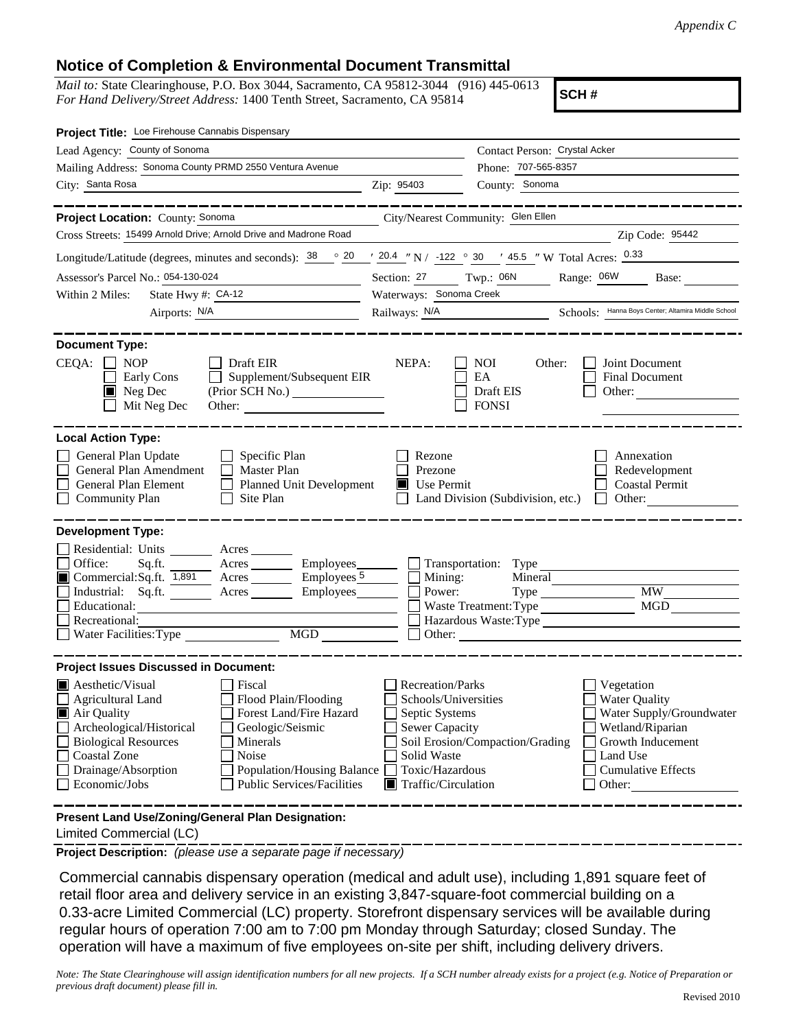## **Notice of Completion & Environmental Document Transmittal**

*Mail to:* State Clearinghouse, P.O. Box 3044, Sacramento, CA 95812-3044 (916) 445-0613 *For Hand Delivery/Street Address:* 1400 Tenth Street, Sacramento, CA 95814

**SCH #**

| Project Title: Loe Firehouse Cannabis Dispensary                                                                                                                                                                                                                                                                                                                       |                                                                                                                                                             |                                                                                            |                                                                                                                                                            |  |
|------------------------------------------------------------------------------------------------------------------------------------------------------------------------------------------------------------------------------------------------------------------------------------------------------------------------------------------------------------------------|-------------------------------------------------------------------------------------------------------------------------------------------------------------|--------------------------------------------------------------------------------------------|------------------------------------------------------------------------------------------------------------------------------------------------------------|--|
| Lead Agency: County of Sonoma                                                                                                                                                                                                                                                                                                                                          |                                                                                                                                                             | Contact Person: Crystal Acker                                                              |                                                                                                                                                            |  |
| Mailing Address: Sonoma County PRMD 2550 Ventura Avenue                                                                                                                                                                                                                                                                                                                |                                                                                                                                                             | Phone: 707-565-8357                                                                        |                                                                                                                                                            |  |
| City: Santa Rosa                                                                                                                                                                                                                                                                                                                                                       | Zip: 95403                                                                                                                                                  | County: Sonoma                                                                             |                                                                                                                                                            |  |
|                                                                                                                                                                                                                                                                                                                                                                        |                                                                                                                                                             |                                                                                            |                                                                                                                                                            |  |
| Project Location: County: Sonoma                                                                                                                                                                                                                                                                                                                                       |                                                                                                                                                             | City/Nearest Community: Glen Ellen                                                         |                                                                                                                                                            |  |
| Cross Streets: 15499 Arnold Drive; Arnold Drive and Madrone Road                                                                                                                                                                                                                                                                                                       |                                                                                                                                                             |                                                                                            | Zip Code: 95442                                                                                                                                            |  |
| Longitude/Latitude (degrees, minutes and seconds): $\frac{38}{20}$ $\frac{20}{20.4}$ $\frac{1}{20.4}$ N / -122 $\degree$ 30 $\degree$ 45.5 " W Total Acres: $\frac{0.33}{20.33}$                                                                                                                                                                                       |                                                                                                                                                             |                                                                                            |                                                                                                                                                            |  |
| Assessor's Parcel No.: 054-130-024                                                                                                                                                                                                                                                                                                                                     | Section: 27 Twp.: 06N                                                                                                                                       |                                                                                            | Range: 06W<br>Base:                                                                                                                                        |  |
| State Hwy #: $CA-12$<br>Within 2 Miles:                                                                                                                                                                                                                                                                                                                                |                                                                                                                                                             | Waterways: Sonoma Creek                                                                    |                                                                                                                                                            |  |
| Airports: N/A<br><u> 1980 - Johann Barbara, martin a</u>                                                                                                                                                                                                                                                                                                               |                                                                                                                                                             |                                                                                            | Railways: N/A Schools: Hanna Boys Center; Altamira Middle School                                                                                           |  |
| <b>Document Type:</b><br>CEQA:<br>Draft EIR<br><b>NOP</b><br>Supplement/Subsequent EIR<br>Early Cons<br>$\blacksquare$ Neg Dec<br>(Prior SCH No.)<br>Mit Neg Dec                                                                                                                                                                                                       | NEPA:                                                                                                                                                       | <b>NOI</b><br>Other:<br>EA<br>Draft EIS<br><b>FONSI</b>                                    | Joint Document<br>Final Document<br>Other: $\qquad \qquad$                                                                                                 |  |
| <b>Local Action Type:</b><br>General Plan Update<br>$\Box$ Specific Plan<br>General Plan Amendment<br>$\Box$ Master Plan<br>General Plan Element<br>Planned Unit Development<br><b>Community Plan</b><br>Site Plan<br>$\mathbf{1}$                                                                                                                                     | Rezone<br>Prezone<br>$\blacksquare$ Use Permit                                                                                                              | Land Division (Subdivision, etc.)                                                          | Annexation<br>Redevelopment<br><b>Coastal Permit</b><br>Other:<br>$\Box$                                                                                   |  |
| <b>Development Type:</b>                                                                                                                                                                                                                                                                                                                                               |                                                                                                                                                             |                                                                                            |                                                                                                                                                            |  |
| Residential: Units Acres<br>Office:<br>Acres<br>Sq.ft.<br>Commercial:Sq.ft. 1,891 Acres<br>Industrial: Sq.ft.<br>Acres<br>Educational:<br>Recreational:<br>Water Facilities: Type                                                                                                                                                                                      | Employees________<br>Employes <sub>5</sub><br>Mining:<br>Employees<br>Power:                                                                                | Transportation: Type<br>Mineral<br>Waste Treatment: Type<br>Hazardous Waste:Type<br>Other: | <b>MW</b><br><b>MGD</b>                                                                                                                                    |  |
| <b>Project Issues Discussed in Document:</b>                                                                                                                                                                                                                                                                                                                           |                                                                                                                                                             |                                                                                            |                                                                                                                                                            |  |
| $\blacksquare$ Aesthetic/Visual<br>Fiscal<br>Agricultural Land<br>Flood Plain/Flooding<br>Forest Land/Fire Hazard<br>Air Quality<br>Archeological/Historical<br>Geologic/Seismic<br><b>Biological Resources</b><br>Minerals<br><b>Coastal Zone</b><br>Noise<br>Drainage/Absorption<br>Population/Housing Balance<br>Economic/Jobs<br><b>Public Services/Facilities</b> | <b>Recreation/Parks</b><br>Schools/Universities<br>Septic Systems<br>Sewer Capacity<br>Solid Waste<br>Toxic/Hazardous<br>$\blacksquare$ Traffic/Circulation | Soil Erosion/Compaction/Grading                                                            | Vegetation<br><b>Water Quality</b><br>Water Supply/Groundwater<br>Wetland/Riparian<br>Growth Inducement<br>Land Use<br><b>Cumulative Effects</b><br>Other: |  |
| Present Land Use/Zoning/General Plan Designation:                                                                                                                                                                                                                                                                                                                      |                                                                                                                                                             |                                                                                            |                                                                                                                                                            |  |

Limited Commercial (LC)

**Project Description:** *(please use a separate page if necessary)*

 Commercial cannabis dispensary operation (medical and adult use), including 1,891 square feet of retail floor area and delivery service in an existing 3,847-square-foot commercial building on a 0.33-acre Limited Commercial (LC) property. Storefront dispensary services will be available during regular hours of operation 7:00 am to 7:00 pm Monday through Saturday; closed Sunday. The operation will have a maximum of five employees on-site per shift, including delivery drivers.

*Note: The State Clearinghouse will assign identification numbers for all new projects. If a SCH number already exists for a project (e.g. Notice of Preparation or previous draft document) please fill in.*